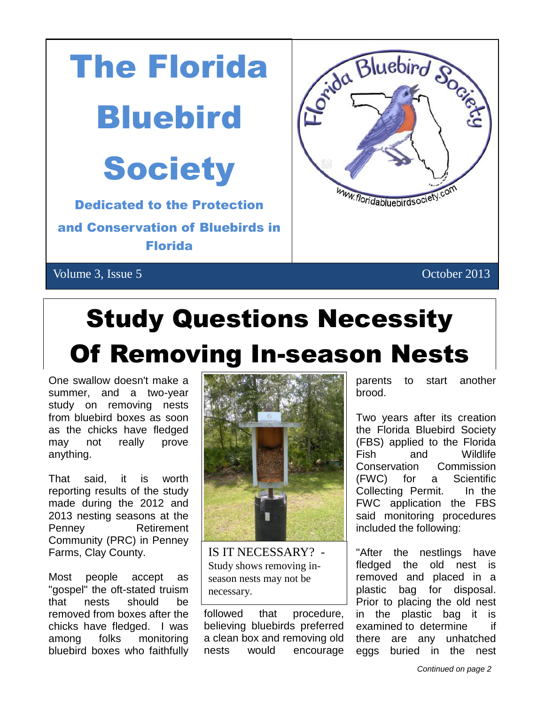

# Study Questions Necessity Of Removing In-season Nests

One swallow doesn't make a summer, and a two-year study on removing nests from bluebird boxes as soon as the chicks have fledged may not really prove anything.

That said, it is worth reporting results of the study made during the 2012 and 2013 nesting seasons at the Penney Retirement Community (PRC) in Penney Farms, Clay County.

Most people accept as "gospel" the oft-stated truism that nests should be removed from boxes after the chicks have fledged. I was among folks monitoring bluebird boxes who faithfully



IS IT NECESSARY? - Study shows removing inseason nests may not be necessary.

followed that procedure, believing bluebirds preferred a clean box and removing old nests would encourage

parents to start another brood.

Two years after its creation the Florida Bluebird Society (FBS) applied to the Florida Fish and Wildlife Conservation Commission (FWC) for a Scientific Collecting Permit. In the FWC application the FBS said monitoring procedures included the following:

"After the nestlings have fledged the old nest is removed and placed in a plastic bag for disposal. Prior to placing the old nest in the plastic bag it is examined to determine if there are any unhatched eggs buried in the nest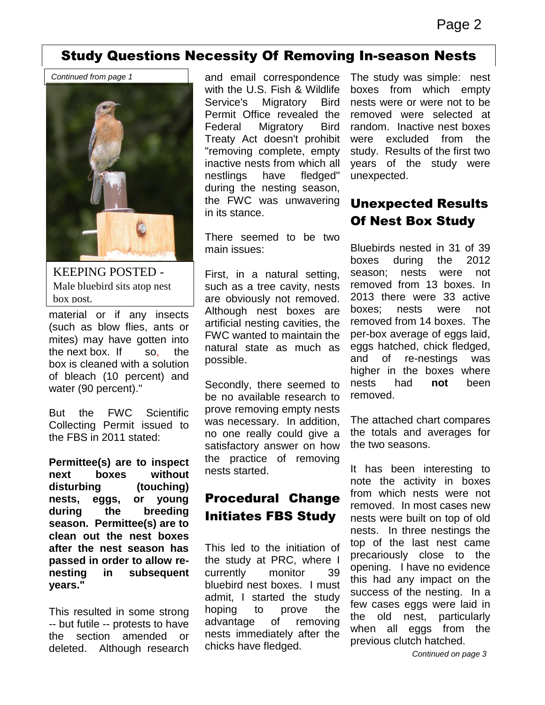#### Study Questions Necessity Of Removing In-season Nests 4

*Continued from page 1*



KEEPING POSTED - Male bluebird sits atop nest box post.

material or if any insects (such as blow flies, ants or mites) may have gotten into the next box. If so, the box is cleaned with a solution of bleach (10 percent) and water (90 percent)."

But the FWC Scientific Collecting Permit issued to the FBS in 2011 stated:

**Permittee(s) are to inspect next boxes without disturbing (touching) nests, eggs, or young during the breeding season. Permittee(s) are to clean out the nest boxes after the nest season has passed in order to allow renesting in subsequent years."**

This resulted in some strong -- but futile -- protests to have the section amended or deleted. Although research and email correspondence with the U.S. Fish & Wildlife Service's Migratory Bird Permit Office revealed the Federal Migratory Bird Treaty Act doesn't prohibit "removing complete, empty inactive nests from which all nestlings have fledged" during the nesting season, the FWC was unwavering in its stance.

There seemed to be two main issues:

First, in a natural setting, such as a tree cavity, nests are obviously not removed. Although nest boxes are artificial nesting cavities, the FWC wanted to maintain the natural state as much as possible.

Secondly, there seemed to be no available research to prove removing empty nests was necessary. In addition, no one really could give a satisfactory answer on how the practice of removing nests started.

### Procedural Change Initiates FBS Study

This led to the initiation of the study at PRC, where I currently monitor 39 bluebird nest boxes. I must admit, I started the study hoping to prove the advantage of removing nests immediately after the chicks have fledged.

The study was simple: nest boxes from which empty nests were or were not to be removed were selected at random. Inactive nest boxes were excluded from the study. Results of the first two years of the study were unexpected.

### Unexpected Results Of Nest Box Study

Bluebirds nested in 31 of 39 boxes during the 2012 season; nests were not removed from 13 boxes. In 2013 there were 33 active boxes; nests were not removed from 14 boxes. The per-box average of eggs laid, eggs hatched, chick fledged, and of re-nestings was higher in the boxes where nests had **not** been removed.

The attached chart compares the totals and averages for the two seasons.

It has been interesting to note the activity in boxes from which nests were not removed. In most cases new nests were built on top of old nests. In three nestings the top of the last nest came precariously close to the opening. I have no evidence this had any impact on the success of the nesting. In a few cases eggs were laid in the old nest, particularly when all eggs from the previous clutch hatched.

*Continued on page 3*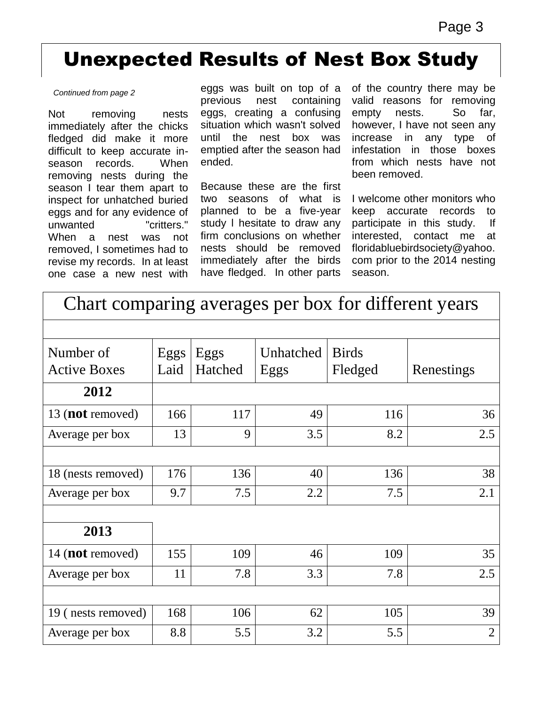## Unexpected Results of Nest Box Study 4

#### *Continued from page 2*

Not removing nests immediately after the chicks fledged did make it more difficult to keep accurate inseason records. When removing nests during the season I tear them apart to inspect for unhatched buried eggs and for any evidence of unwanted "critters." When a nest was not removed, I sometimes had to revise my records. In at least one case a new nest with

eggs was built on top of a previous nest containing eggs, creating a confusing situation which wasn't solved until the nest box was emptied after the season had ended.

Because these are the first two seasons of what is planned to be a five-year study l hesitate to draw any firm conclusions on whether nests should be removed immediately after the birds have fledged. In other parts

of the country there may be valid reasons for removing empty nests. So far, however, I have not seen any increase in any type of infestation in those boxes from which nests have not been removed.

I welcome other monitors who keep accurate records to participate in this study. If interested, contact me at floridabluebirdsociety@yahoo. com prior to the 2014 nesting season.

## Chart comparing averages per box for different years

| Number of<br><b>Active Boxes</b> | Eggs<br>Laid | Eggs<br>Hatched | Unhatched<br>Eggs | <b>Birds</b><br>Fledged | Renestings     |
|----------------------------------|--------------|-----------------|-------------------|-------------------------|----------------|
| 2012                             |              |                 |                   |                         |                |
| 13 ( <b>not</b> removed)         | 166          | 117             | 49                | 116                     | 36             |
| Average per box                  | 13           | 9               | 3.5               | 8.2                     | 2.5            |
|                                  |              |                 |                   |                         |                |
| 18 (nests removed)               | 176          | 136             | 40                | 136                     | 38             |
| Average per box                  | 9.7          | 7.5             | 2.2               | 7.5                     | 2.1            |
|                                  |              |                 |                   |                         |                |
| 2013                             |              |                 |                   |                         |                |
| 14 ( <b>not</b> removed)         | 155          | 109             | 46                | 109                     | 35             |
| Average per box                  | 11           | 7.8             | 3.3               | 7.8                     | 2.5            |
|                                  |              |                 |                   |                         |                |
| 19 (nests removed)               | 168          | 106             | 62                | 105                     | 39             |
| Average per box                  | 8.8          | 5.5             | 3.2               | 5.5                     | $\overline{2}$ |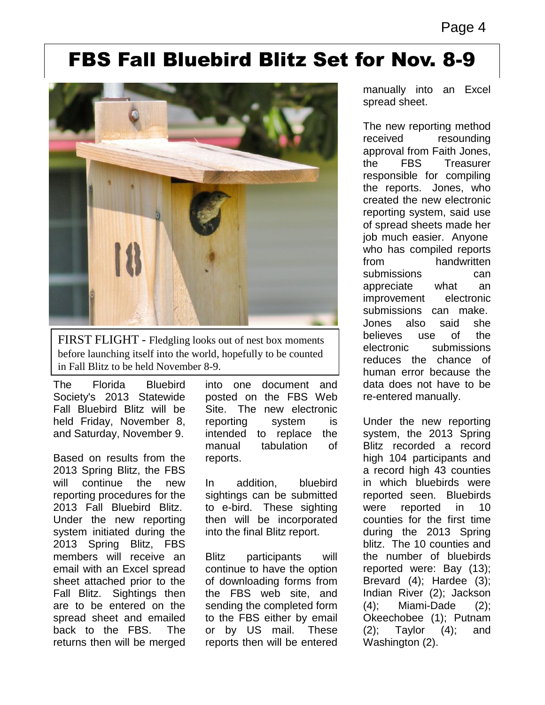## FBS Fall Bluebird Blitz Set for Nov. 8-9



FIRST FLIGHT - Fledgling looks out of nest box moments before launching itself into the world, hopefully to be counted in Fall Blitz to be held November 8-9.

The Florida Bluebird Society's 2013 Statewide Fall Bluebird Blitz will be held Friday, November 8, and Saturday, November 9.

Based on results from the 2013 Spring Blitz, the FBS will continue the new reporting procedures for the 2013 Fall Bluebird Blitz. Under the new reporting system initiated during the 2013 Spring Blitz, FBS members will receive an email with an Excel spread sheet attached prior to the Fall Blitz. Sightings then are to be entered on the spread sheet and emailed back to the FBS. The returns then will be merged

into one document and posted on the FBS Web Site. The new electronic reporting system is intended to replace the manual tabulation of reports.

In addition, bluebird sightings can be submitted to e-bird. These sighting then will be incorporated into the final Blitz report.

Blitz participants will continue to have the option of downloading forms from the FBS web site, and sending the completed form to the FBS either by email or by US mail. These reports then will be entered

manually into an Excel spread sheet.

The new reporting method received resounding approval from Faith Jones, the FBS Treasurer responsible for compiling the reports. Jones, who created the new electronic reporting system, said use of spread sheets made her job much easier. Anyone who has compiled reports from handwritten submissions can appreciate what an improvement electronic submissions can make. Jones also said she believes use of the electronic submissions reduces the chance of human error because the data does not have to be re-entered manually.

Under the new reporting system, the 2013 Spring Blitz recorded a record high 104 participants and a record high 43 counties in which bluebirds were reported seen. Bluebirds were reported in 10 counties for the first time during the 2013 Spring blitz. The 10 counties and the number of bluebirds reported were: Bay (13); Brevard (4); Hardee (3); Indian River (2); Jackson (4); Miami-Dade (2); Okeechobee (1); Putnam  $(2)$ ; Taylor  $(4)$ ; and Washington (2).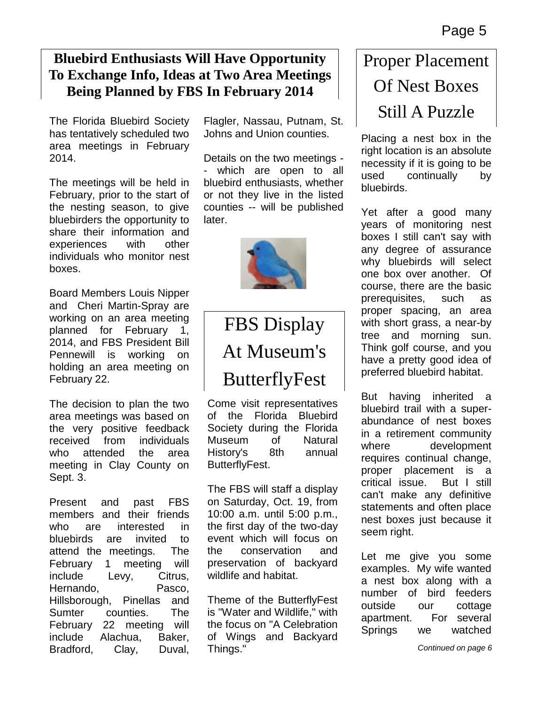### **Bluebird Enthusiasts Will Have Opportunity To Exchange Info, Ideas at Two Area Meetings Being Planned by FBS In February 2014**

The Florida Bluebird Society has tentatively scheduled two area meetings in February 2014.

The meetings will be held in February, prior to the start of the nesting season, to give bluebirders the opportunity to share their information and experiences with other individuals who monitor nest boxes.

Board Members Louis Nipper and Cheri Martin-Spray are working on an area meeting planned for February 1, 2014, and FBS President Bill Pennewill is working on holding an area meeting on February 22.

The decision to plan the two area meetings was based on the very positive feedback received from individuals who attended the area meeting in Clay County on Sept. 3.

Present and past FBS members and their friends who are interested in bluebirds are invited to attend the meetings. The February 1 meeting will include Levy, Citrus, Hernando, Pasco, Hillsborough, Pinellas and Sumter counties. The February 22 meeting will include Alachua, Baker, Bradford, Clay, Duval, Flagler, Nassau, Putnam, St. Johns and Union counties.

Details on the two meetings which are open to all bluebird enthusiasts, whether or not they live in the listed counties -- will be published later.



## FBS Display At Museum's ButterflyFest

Come visit representatives of the Florida Bluebird Society during the Florida Museum of Natural History's 8th annual ButterflyFest.

The FBS will staff a display on Saturday, Oct. 19, from 10:00 a.m. until 5:00 p.m., the first day of the two-day event which will focus on the conservation and preservation of backyard wildlife and habitat.

Theme of the ButterflyFest is "Water and Wildlife," with the focus on "A Celebration of Wings and Backyard Things."

## Proper Placement Of Nest Boxes Still A Puzzle

Placing a nest box in the right location is an absolute necessity if it is going to be used continually by bluebirds.

Yet after a good many years of monitoring nest boxes I still can't say with any degree of assurance why bluebirds will select one box over another. Of course, there are the basic prerequisites, such as proper spacing, an area with short grass, a near-by tree and morning sun. Think golf course, and you have a pretty good idea of preferred bluebird habitat.

But having inherited a bluebird trail with a superabundance of nest boxes in a retirement community where development requires continual change, proper placement is a critical issue. But I still can't make any definitive statements and often place nest boxes just because it seem right.

Let me give you some examples. My wife wanted a nest box along with a number of bird feeders outside our cottage apartment. For several Springs we watched

*Continued on page 6*